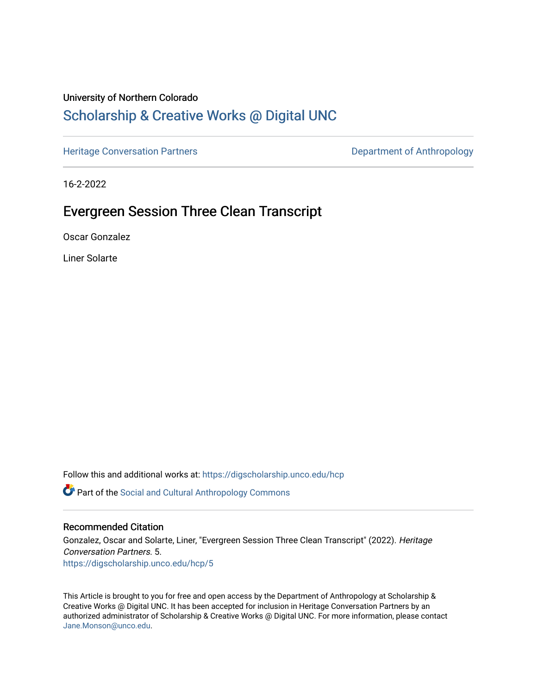### University of Northern Colorado

# [Scholarship & Creative Works @ Digital UNC](https://digscholarship.unco.edu/)

[Heritage Conversation Partners](https://digscholarship.unco.edu/hcp) **Department of Anthropology** 

16-2-2022

# Evergreen Session Three Clean Transcript

Oscar Gonzalez

Liner Solarte

Follow this and additional works at: [https://digscholarship.unco.edu/hcp](https://digscholarship.unco.edu/hcp?utm_source=digscholarship.unco.edu%2Fhcp%2F5&utm_medium=PDF&utm_campaign=PDFCoverPages) 

Part of the [Social and Cultural Anthropology Commons](http://network.bepress.com/hgg/discipline/323?utm_source=digscholarship.unco.edu%2Fhcp%2F5&utm_medium=PDF&utm_campaign=PDFCoverPages) 

#### Recommended Citation

Gonzalez, Oscar and Solarte, Liner, "Evergreen Session Three Clean Transcript" (2022). Heritage Conversation Partners. 5. [https://digscholarship.unco.edu/hcp/5](https://digscholarship.unco.edu/hcp/5?utm_source=digscholarship.unco.edu%2Fhcp%2F5&utm_medium=PDF&utm_campaign=PDFCoverPages)

This Article is brought to you for free and open access by the Department of Anthropology at Scholarship & Creative Works @ Digital UNC. It has been accepted for inclusion in Heritage Conversation Partners by an authorized administrator of Scholarship & Creative Works @ Digital UNC. For more information, please contact [Jane.Monson@unco.edu.](mailto:Jane.Monson@unco.edu)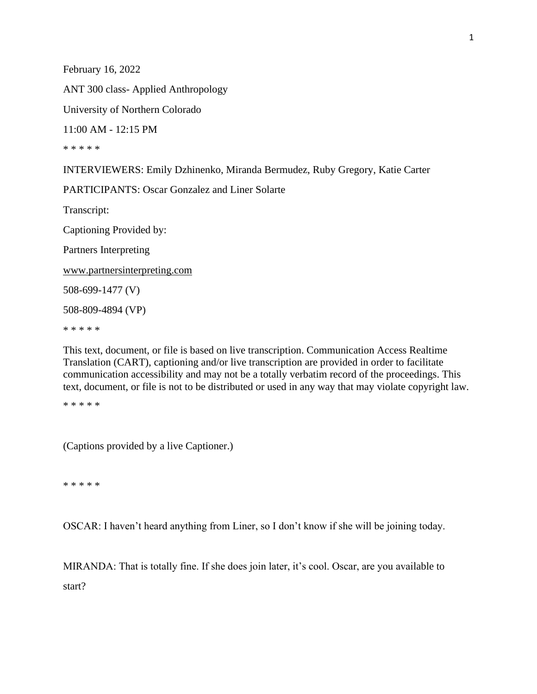February 16, 2022 ANT 300 class- Applied Anthropology University of Northern Colorado 11:00 AM - 12:15 PM \* \* \* \* \*

INTERVIEWERS: Emily Dzhinenko, Miranda Bermudez, Ruby Gregory, Katie Carter

PARTICIPANTS: Oscar Gonzalez and Liner Solarte

Transcript:

Captioning Provided by:

Partners Interpreting

www.partnersinterpreting.com

508-699-1477 (V)

508-809-4894 (VP)

\* \* \* \* \*

This text, document, or file is based on live transcription. Communication Access Realtime Translation (CART), captioning and/or live transcription are provided in order to facilitate communication accessibility and may not be a totally verbatim record of the proceedings. This text, document, or file is not to be distributed or used in any way that may violate copyright law.

\* \* \* \* \*

(Captions provided by a live Captioner.)

\* \* \* \* \*

OSCAR: I haven't heard anything from Liner, so I don't know if she will be joining today.

MIRANDA: That is totally fine. If she does join later, it's cool. Oscar, are you available to start?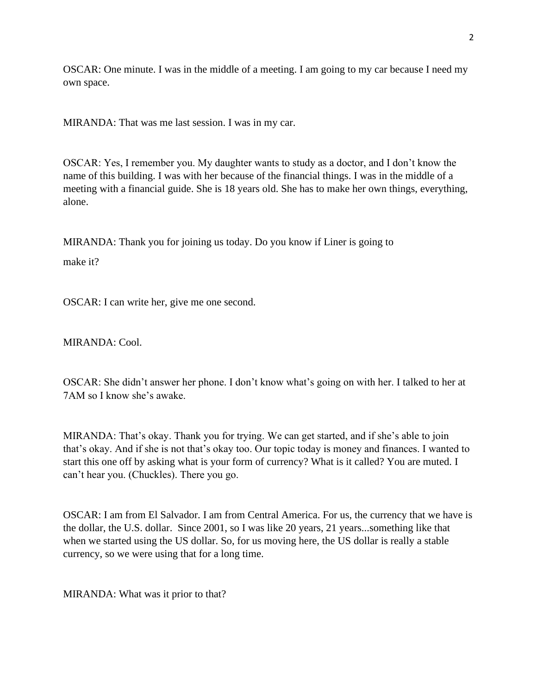OSCAR: One minute. I was in the middle of a meeting. I am going to my car because I need my own space.

MIRANDA: That was me last session. I was in my car.

OSCAR: Yes, I remember you. My daughter wants to study as a doctor, and I don't know the name of this building. I was with her because of the financial things. I was in the middle of a meeting with a financial guide. She is 18 years old. She has to make her own things, everything, alone.

MIRANDA: Thank you for joining us today. Do you know if Liner is going to

make it?

OSCAR: I can write her, give me one second.

MIRANDA: Cool.

OSCAR: She didn't answer her phone. I don't know what's going on with her. I talked to her at 7AM so I know she's awake.

MIRANDA: That's okay. Thank you for trying. We can get started, and if she's able to join that's okay. And if she is not that's okay too. Our topic today is money and finances. I wanted to start this one off by asking what is your form of currency? What is it called? You are muted. I can't hear you. (Chuckles). There you go.

OSCAR: I am from El Salvador. I am from Central America. For us, the currency that we have is the dollar, the U.S. dollar. Since 2001, so I was like 20 years, 21 years...something like that when we started using the US dollar. So, for us moving here, the US dollar is really a stable currency, so we were using that for a long time.

MIRANDA: What was it prior to that?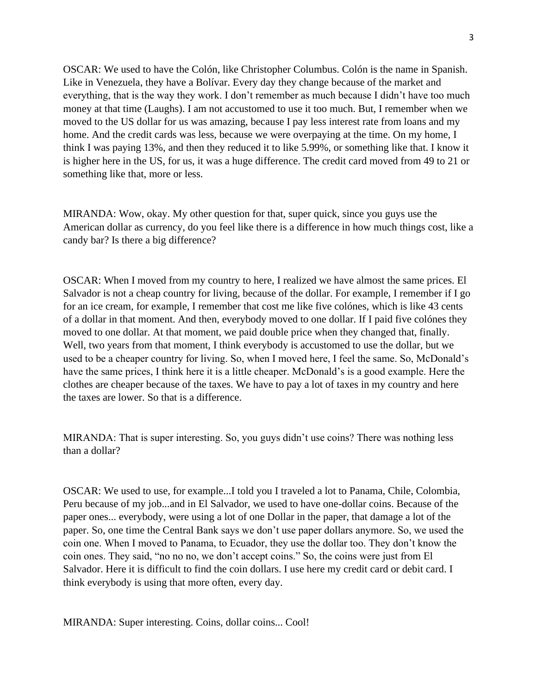OSCAR: We used to have the Colón, like Christopher Columbus. Colón is the name in Spanish. Like in Venezuela, they have a Bolívar. Every day they change because of the market and everything, that is the way they work. I don't remember as much because I didn't have too much money at that time (Laughs). I am not accustomed to use it too much. But, I remember when we moved to the US dollar for us was amazing, because I pay less interest rate from loans and my home. And the credit cards was less, because we were overpaying at the time. On my home, I think I was paying 13%, and then they reduced it to like 5.99%, or something like that. I know it is higher here in the US, for us, it was a huge difference. The credit card moved from 49 to 21 or something like that, more or less.

MIRANDA: Wow, okay. My other question for that, super quick, since you guys use the American dollar as currency, do you feel like there is a difference in how much things cost, like a candy bar? Is there a big difference?

OSCAR: When I moved from my country to here, I realized we have almost the same prices. El Salvador is not a cheap country for living, because of the dollar. For example, I remember if I go for an ice cream, for example, I remember that cost me like five colónes, which is like 43 cents of a dollar in that moment. And then, everybody moved to one dollar. If I paid five colónes they moved to one dollar. At that moment, we paid double price when they changed that, finally. Well, two years from that moment, I think everybody is accustomed to use the dollar, but we used to be a cheaper country for living. So, when I moved here, I feel the same. So, McDonald's have the same prices, I think here it is a little cheaper. McDonald's is a good example. Here the clothes are cheaper because of the taxes. We have to pay a lot of taxes in my country and here the taxes are lower. So that is a difference.

MIRANDA: That is super interesting. So, you guys didn't use coins? There was nothing less than a dollar?

OSCAR: We used to use, for example...I told you I traveled a lot to Panama, Chile, Colombia, Peru because of my job...and in El Salvador, we used to have one-dollar coins. Because of the paper ones... everybody, were using a lot of one Dollar in the paper, that damage a lot of the paper. So, one time the Central Bank says we don't use paper dollars anymore. So, we used the coin one. When I moved to Panama, to Ecuador, they use the dollar too. They don't know the coin ones. They said, "no no no, we don't accept coins." So, the coins were just from El Salvador. Here it is difficult to find the coin dollars. I use here my credit card or debit card. I think everybody is using that more often, every day.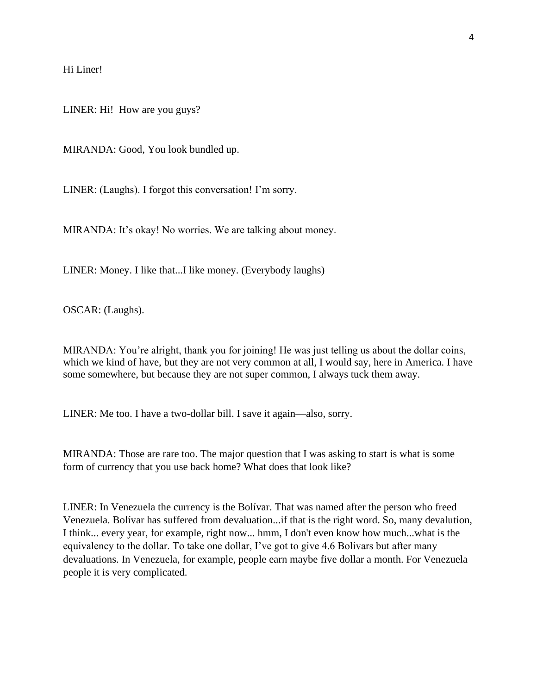Hi Liner!

LINER: Hi! How are you guys?

MIRANDA: Good, You look bundled up.

LINER: (Laughs). I forgot this conversation! I'm sorry.

MIRANDA: It's okay! No worries. We are talking about money.

LINER: Money. I like that...I like money. (Everybody laughs)

OSCAR: (Laughs).

MIRANDA: You're alright, thank you for joining! He was just telling us about the dollar coins, which we kind of have, but they are not very common at all, I would say, here in America. I have some somewhere, but because they are not super common, I always tuck them away.

LINER: Me too. I have a two-dollar bill. I save it again—also, sorry.

MIRANDA: Those are rare too. The major question that I was asking to start is what is some form of currency that you use back home? What does that look like?

LINER: In Venezuela the currency is the Bolívar. That was named after the person who freed Venezuela. Bolívar has suffered from devaluation...if that is the right word. So, many devalution, I think... every year, for example, right now... hmm, I don't even know how much...what is the equivalency to the dollar. To take one dollar, I've got to give 4.6 Bolivars but after many devaluations. In Venezuela, for example, people earn maybe five dollar a month. For Venezuela people it is very complicated.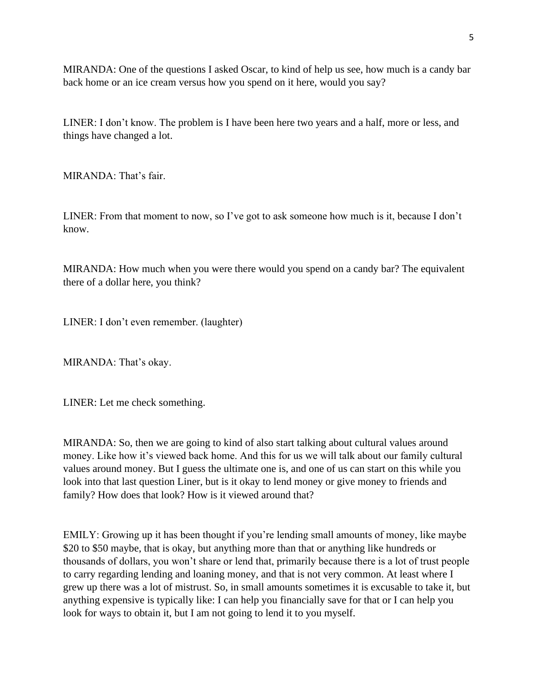MIRANDA: One of the questions I asked Oscar, to kind of help us see, how much is a candy bar back home or an ice cream versus how you spend on it here, would you say?

LINER: I don't know. The problem is I have been here two years and a half, more or less, and things have changed a lot.

MIRANDA: That's fair.

LINER: From that moment to now, so I've got to ask someone how much is it, because I don't know.

MIRANDA: How much when you were there would you spend on a candy bar? The equivalent there of a dollar here, you think?

LINER: I don't even remember. (laughter)

MIRANDA: That's okay.

LINER: Let me check something.

MIRANDA: So, then we are going to kind of also start talking about cultural values around money. Like how it's viewed back home. And this for us we will talk about our family cultural values around money. But I guess the ultimate one is, and one of us can start on this while you look into that last question Liner, but is it okay to lend money or give money to friends and family? How does that look? How is it viewed around that?

EMILY: Growing up it has been thought if you're lending small amounts of money, like maybe \$20 to \$50 maybe, that is okay, but anything more than that or anything like hundreds or thousands of dollars, you won't share or lend that, primarily because there is a lot of trust people to carry regarding lending and loaning money, and that is not very common. At least where I grew up there was a lot of mistrust. So, in small amounts sometimes it is excusable to take it, but anything expensive is typically like: I can help you financially save for that or I can help you look for ways to obtain it, but I am not going to lend it to you myself.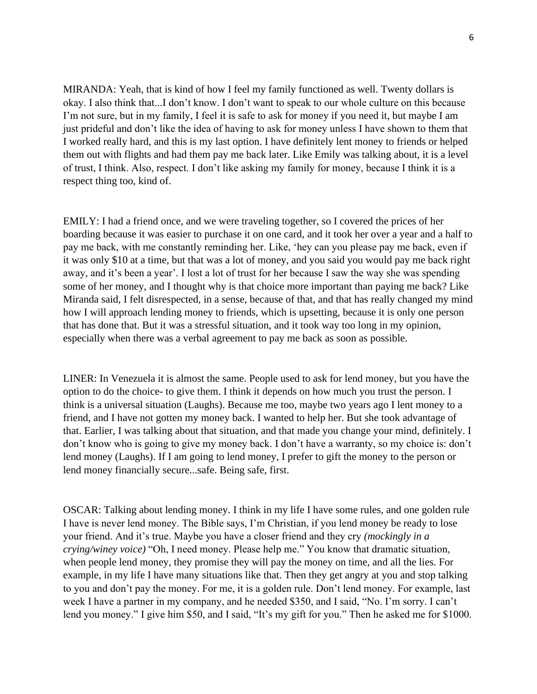MIRANDA: Yeah, that is kind of how I feel my family functioned as well. Twenty dollars is okay. I also think that...I don't know. I don't want to speak to our whole culture on this because I'm not sure, but in my family, I feel it is safe to ask for money if you need it, but maybe I am just prideful and don't like the idea of having to ask for money unless I have shown to them that I worked really hard, and this is my last option. I have definitely lent money to friends or helped them out with flights and had them pay me back later. Like Emily was talking about, it is a level of trust, I think. Also, respect. I don't like asking my family for money, because I think it is a respect thing too, kind of.

EMILY: I had a friend once, and we were traveling together, so I covered the prices of her boarding because it was easier to purchase it on one card, and it took her over a year and a half to pay me back, with me constantly reminding her. Like, 'hey can you please pay me back, even if it was only \$10 at a time, but that was a lot of money, and you said you would pay me back right away, and it's been a year'. I lost a lot of trust for her because I saw the way she was spending some of her money, and I thought why is that choice more important than paying me back? Like Miranda said, I felt disrespected, in a sense, because of that, and that has really changed my mind how I will approach lending money to friends, which is upsetting, because it is only one person that has done that. But it was a stressful situation, and it took way too long in my opinion, especially when there was a verbal agreement to pay me back as soon as possible.

LINER: In Venezuela it is almost the same. People used to ask for lend money, but you have the option to do the choice- to give them. I think it depends on how much you trust the person. I think is a universal situation (Laughs). Because me too, maybe two years ago I lent money to a friend, and I have not gotten my money back. I wanted to help her. But she took advantage of that. Earlier, I was talking about that situation, and that made you change your mind, definitely. I don't know who is going to give my money back. I don't have a warranty, so my choice is: don't lend money (Laughs). If I am going to lend money, I prefer to gift the money to the person or lend money financially secure...safe. Being safe, first.

OSCAR: Talking about lending money. I think in my life I have some rules, and one golden rule I have is never lend money. The Bible says, I'm Christian, if you lend money be ready to lose your friend. And it's true. Maybe you have a closer friend and they cry *(mockingly in a crying/winey voice)* "Oh, I need money. Please help me." You know that dramatic situation, when people lend money, they promise they will pay the money on time, and all the lies. For example, in my life I have many situations like that. Then they get angry at you and stop talking to you and don't pay the money. For me, it is a golden rule. Don't lend money. For example, last week I have a partner in my company, and he needed \$350, and I said, "No. I'm sorry. I can't lend you money." I give him \$50, and I said, "It's my gift for you." Then he asked me for \$1000.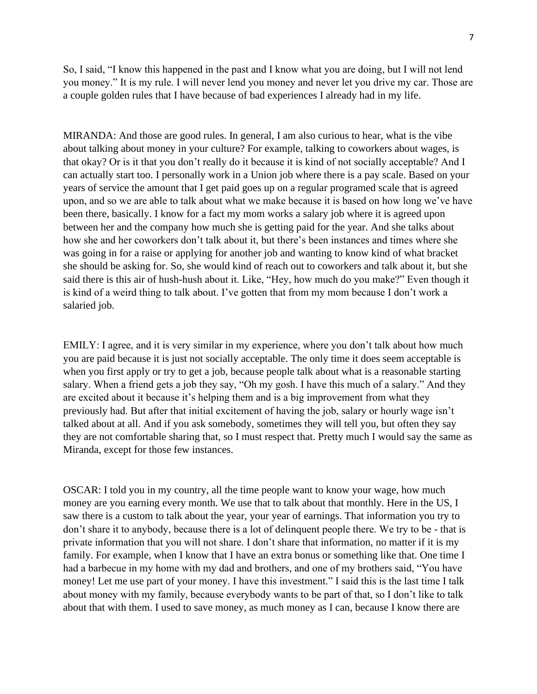So, I said, "I know this happened in the past and I know what you are doing, but I will not lend you money." It is my rule. I will never lend you money and never let you drive my car. Those are a couple golden rules that I have because of bad experiences I already had in my life.

MIRANDA: And those are good rules. In general, I am also curious to hear, what is the vibe about talking about money in your culture? For example, talking to coworkers about wages, is that okay? Or is it that you don't really do it because it is kind of not socially acceptable? And I can actually start too. I personally work in a Union job where there is a pay scale. Based on your years of service the amount that I get paid goes up on a regular programed scale that is agreed upon, and so we are able to talk about what we make because it is based on how long we've have been there, basically. I know for a fact my mom works a salary job where it is agreed upon between her and the company how much she is getting paid for the year. And she talks about how she and her coworkers don't talk about it, but there's been instances and times where she was going in for a raise or applying for another job and wanting to know kind of what bracket she should be asking for. So, she would kind of reach out to coworkers and talk about it, but she said there is this air of hush-hush about it. Like, "Hey, how much do you make?" Even though it is kind of a weird thing to talk about. I've gotten that from my mom because I don't work a salaried job.

EMILY: I agree, and it is very similar in my experience, where you don't talk about how much you are paid because it is just not socially acceptable. The only time it does seem acceptable is when you first apply or try to get a job, because people talk about what is a reasonable starting salary. When a friend gets a job they say, "Oh my gosh. I have this much of a salary." And they are excited about it because it's helping them and is a big improvement from what they previously had. But after that initial excitement of having the job, salary or hourly wage isn't talked about at all. And if you ask somebody, sometimes they will tell you, but often they say they are not comfortable sharing that, so I must respect that. Pretty much I would say the same as Miranda, except for those few instances.

OSCAR: I told you in my country, all the time people want to know your wage, how much money are you earning every month. We use that to talk about that monthly. Here in the US, I saw there is a custom to talk about the year, your year of earnings. That information you try to don't share it to anybody, because there is a lot of delinquent people there. We try to be - that is private information that you will not share. I don't share that information, no matter if it is my family. For example, when I know that I have an extra bonus or something like that. One time I had a barbecue in my home with my dad and brothers, and one of my brothers said, "You have money! Let me use part of your money. I have this investment." I said this is the last time I talk about money with my family, because everybody wants to be part of that, so I don't like to talk about that with them. I used to save money, as much money as I can, because I know there are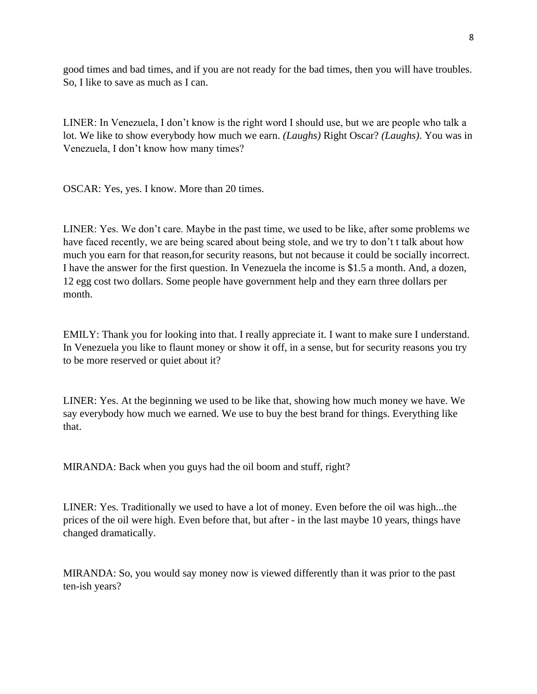good times and bad times, and if you are not ready for the bad times, then you will have troubles. So, I like to save as much as I can.

LINER: In Venezuela, I don't know is the right word I should use, but we are people who talk a lot. We like to show everybody how much we earn. *(Laughs)* Right Oscar? *(Laughs)*. You was in Venezuela, I don't know how many times?

OSCAR: Yes, yes. I know. More than 20 times.

LINER: Yes. We don't care. Maybe in the past time, we used to be like, after some problems we have faced recently, we are being scared about being stole, and we try to don't t talk about how much you earn for that reason,for security reasons, but not because it could be socially incorrect. I have the answer for the first question. In Venezuela the income is \$1.5 a month. And, a dozen, 12 egg cost two dollars. Some people have government help and they earn three dollars per month.

EMILY: Thank you for looking into that. I really appreciate it. I want to make sure I understand. In Venezuela you like to flaunt money or show it off, in a sense, but for security reasons you try to be more reserved or quiet about it?

LINER: Yes. At the beginning we used to be like that, showing how much money we have. We say everybody how much we earned. We use to buy the best brand for things. Everything like that.

MIRANDA: Back when you guys had the oil boom and stuff, right?

LINER: Yes. Traditionally we used to have a lot of money. Even before the oil was high...the prices of the oil were high. Even before that, but after - in the last maybe 10 years, things have changed dramatically.

MIRANDA: So, you would say money now is viewed differently than it was prior to the past ten-ish years?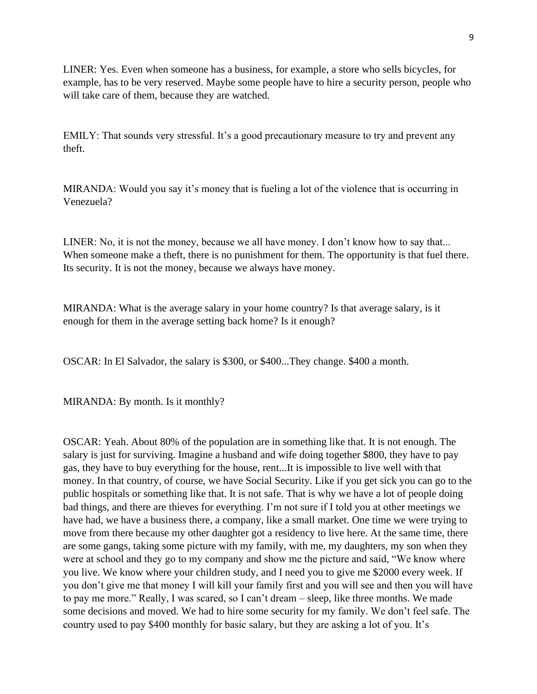LINER: Yes. Even when someone has a business, for example, a store who sells bicycles, for example, has to be very reserved. Maybe some people have to hire a security person, people who will take care of them, because they are watched.

EMILY: That sounds very stressful. It's a good precautionary measure to try and prevent any theft.

MIRANDA: Would you say it's money that is fueling a lot of the violence that is occurring in Venezuela?

LINER: No, it is not the money, because we all have money. I don't know how to say that... When someone make a theft, there is no punishment for them. The opportunity is that fuel there. Its security. It is not the money, because we always have money.

MIRANDA: What is the average salary in your home country? Is that average salary, is it enough for them in the average setting back home? Is it enough?

OSCAR: In El Salvador, the salary is \$300, or \$400...They change. \$400 a month.

MIRANDA: By month. Is it monthly?

OSCAR: Yeah. About 80% of the population are in something like that. It is not enough. The salary is just for surviving. Imagine a husband and wife doing together \$800, they have to pay gas, they have to buy everything for the house, rent...It is impossible to live well with that money. In that country, of course, we have Social Security. Like if you get sick you can go to the public hospitals or something like that. It is not safe. That is why we have a lot of people doing bad things, and there are thieves for everything. I'm not sure if I told you at other meetings we have had, we have a business there, a company, like a small market. One time we were trying to move from there because my other daughter got a residency to live here. At the same time, there are some gangs, taking some picture with my family, with me, my daughters, my son when they were at school and they go to my company and show me the picture and said, "We know where you live. We know where your children study, and I need you to give me \$2000 every week. If you don't give me that money I will kill your family first and you will see and then you will have to pay me more." Really, I was scared, so I can't dream – sleep, like three months. We made some decisions and moved. We had to hire some security for my family. We don't feel safe. The country used to pay \$400 monthly for basic salary, but they are asking a lot of you. It's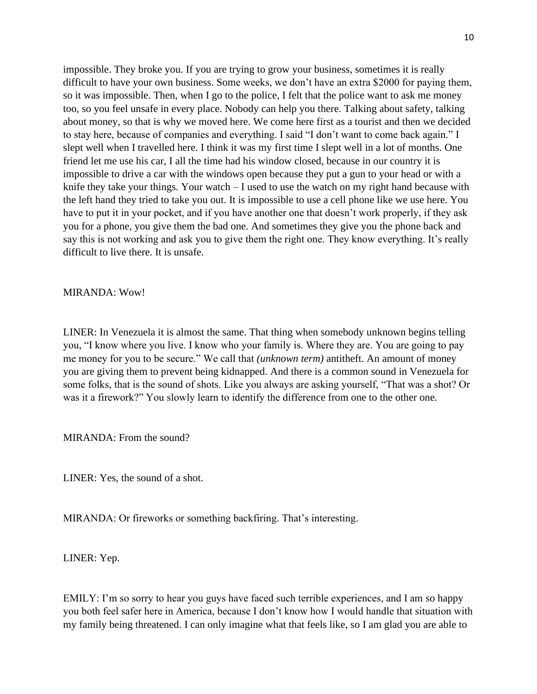impossible. They broke you. If you are trying to grow your business, sometimes it is really difficult to have your own business. Some weeks, we don't have an extra \$2000 for paying them, so it was impossible. Then, when I go to the police, I felt that the police want to ask me money too, so you feel unsafe in every place. Nobody can help you there. Talking about safety, talking about money, so that is why we moved here. We come here first as a tourist and then we decided to stay here, because of companies and everything. I said "I don't want to come back again." I slept well when I travelled here. I think it was my first time I slept well in a lot of months. One friend let me use his car, I all the time had his window closed, because in our country it is impossible to drive a car with the windows open because they put a gun to your head or with a knife they take your things. Your watch – I used to use the watch on my right hand because with the left hand they tried to take you out. It is impossible to use a cell phone like we use here. You have to put it in your pocket, and if you have another one that doesn't work properly, if they ask you for a phone, you give them the bad one. And sometimes they give you the phone back and say this is not working and ask you to give them the right one. They know everything. It's really difficult to live there. It is unsafe.

MIRANDA: Wow!

LINER: In Venezuela it is almost the same. That thing when somebody unknown begins telling you, "I know where you live. I know who your family is. Where they are. You are going to pay me money for you to be secure." We call that *(unknown term)* antitheft. An amount of money you are giving them to prevent being kidnapped. And there is a common sound in Venezuela for some folks, that is the sound of shots. Like you always are asking yourself, "That was a shot? Or was it a firework?" You slowly learn to identify the difference from one to the other one.

MIRANDA: From the sound?

LINER: Yes, the sound of a shot.

MIRANDA: Or fireworks or something backfiring. That's interesting.

LINER: Yep.

EMILY: I'm so sorry to hear you guys have faced such terrible experiences, and I am so happy you both feel safer here in America, because I don't know how I would handle that situation with my family being threatened. I can only imagine what that feels like, so I am glad you are able to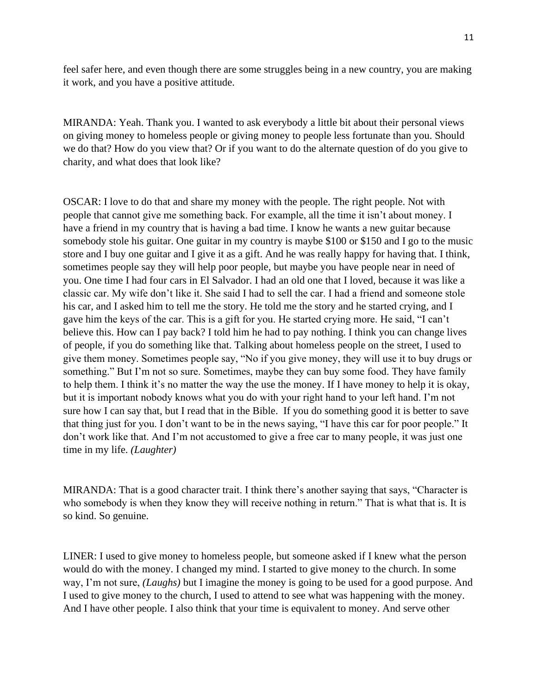feel safer here, and even though there are some struggles being in a new country, you are making it work, and you have a positive attitude.

MIRANDA: Yeah. Thank you. I wanted to ask everybody a little bit about their personal views on giving money to homeless people or giving money to people less fortunate than you. Should we do that? How do you view that? Or if you want to do the alternate question of do you give to charity, and what does that look like?

OSCAR: I love to do that and share my money with the people. The right people. Not with people that cannot give me something back. For example, all the time it isn't about money. I have a friend in my country that is having a bad time. I know he wants a new guitar because somebody stole his guitar. One guitar in my country is maybe \$100 or \$150 and I go to the music store and I buy one guitar and I give it as a gift. And he was really happy for having that. I think, sometimes people say they will help poor people, but maybe you have people near in need of you. One time I had four cars in El Salvador. I had an old one that I loved, because it was like a classic car. My wife don't like it. She said I had to sell the car. I had a friend and someone stole his car, and I asked him to tell me the story. He told me the story and he started crying, and I gave him the keys of the car. This is a gift for you. He started crying more. He said, "I can't believe this. How can I pay back? I told him he had to pay nothing. I think you can change lives of people, if you do something like that. Talking about homeless people on the street, I used to give them money. Sometimes people say, "No if you give money, they will use it to buy drugs or something." But I'm not so sure. Sometimes, maybe they can buy some food. They have family to help them. I think it's no matter the way the use the money. If I have money to help it is okay, but it is important nobody knows what you do with your right hand to your left hand. I'm not sure how I can say that, but I read that in the Bible. If you do something good it is better to save that thing just for you. I don't want to be in the news saying, "I have this car for poor people." It don't work like that. And I'm not accustomed to give a free car to many people, it was just one time in my life. *(Laughter)*

MIRANDA: That is a good character trait. I think there's another saying that says, "Character is who somebody is when they know they will receive nothing in return." That is what that is. It is so kind. So genuine.

LINER: I used to give money to homeless people, but someone asked if I knew what the person would do with the money. I changed my mind. I started to give money to the church. In some way, I'm not sure, *(Laughs)* but I imagine the money is going to be used for a good purpose. And I used to give money to the church, I used to attend to see what was happening with the money. And I have other people. I also think that your time is equivalent to money. And serve other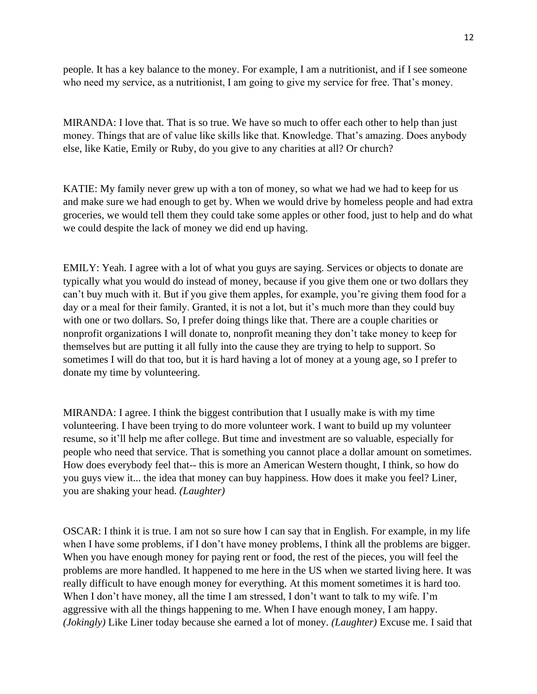people. It has a key balance to the money. For example, I am a nutritionist, and if I see someone who need my service, as a nutritionist, I am going to give my service for free. That's money.

MIRANDA: I love that. That is so true. We have so much to offer each other to help than just money. Things that are of value like skills like that. Knowledge. That's amazing. Does anybody else, like Katie, Emily or Ruby, do you give to any charities at all? Or church?

KATIE: My family never grew up with a ton of money, so what we had we had to keep for us and make sure we had enough to get by. When we would drive by homeless people and had extra groceries, we would tell them they could take some apples or other food, just to help and do what we could despite the lack of money we did end up having.

EMILY: Yeah. I agree with a lot of what you guys are saying. Services or objects to donate are typically what you would do instead of money, because if you give them one or two dollars they can't buy much with it. But if you give them apples, for example, you're giving them food for a day or a meal for their family. Granted, it is not a lot, but it's much more than they could buy with one or two dollars. So, I prefer doing things like that. There are a couple charities or nonprofit organizations I will donate to, nonprofit meaning they don't take money to keep for themselves but are putting it all fully into the cause they are trying to help to support. So sometimes I will do that too, but it is hard having a lot of money at a young age, so I prefer to donate my time by volunteering.

MIRANDA: I agree. I think the biggest contribution that I usually make is with my time volunteering. I have been trying to do more volunteer work. I want to build up my volunteer resume, so it'll help me after college. But time and investment are so valuable, especially for people who need that service. That is something you cannot place a dollar amount on sometimes. How does everybody feel that-- this is more an American Western thought, I think, so how do you guys view it... the idea that money can buy happiness. How does it make you feel? Liner, you are shaking your head. *(Laughter)*

OSCAR: I think it is true. I am not so sure how I can say that in English. For example, in my life when I have some problems, if I don't have money problems, I think all the problems are bigger. When you have enough money for paying rent or food, the rest of the pieces, you will feel the problems are more handled. It happened to me here in the US when we started living here. It was really difficult to have enough money for everything. At this moment sometimes it is hard too. When I don't have money, all the time I am stressed, I don't want to talk to my wife. I'm aggressive with all the things happening to me. When I have enough money, I am happy. *(Jokingly)* Like Liner today because she earned a lot of money. *(Laughter)* Excuse me. I said that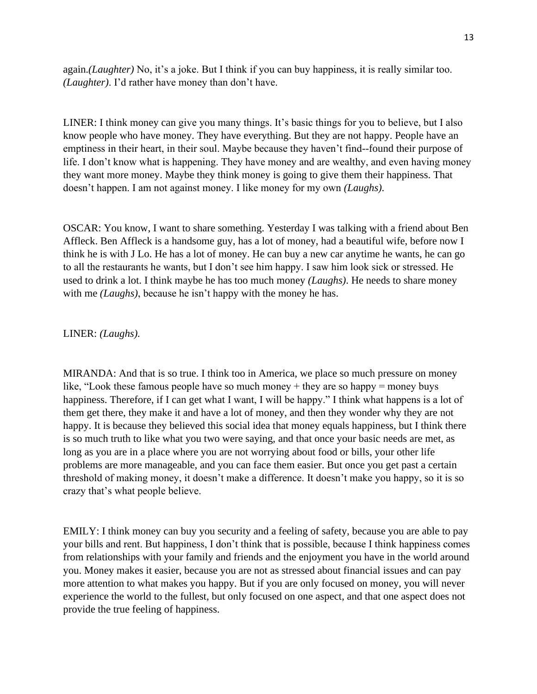again.*(Laughter)* No, it's a joke. But I think if you can buy happiness, it is really similar too. *(Laughter)*. I'd rather have money than don't have.

LINER: I think money can give you many things. It's basic things for you to believe, but I also know people who have money. They have everything. But they are not happy. People have an emptiness in their heart, in their soul. Maybe because they haven't find--found their purpose of life. I don't know what is happening. They have money and are wealthy, and even having money they want more money. Maybe they think money is going to give them their happiness. That doesn't happen. I am not against money. I like money for my own *(Laughs).* 

OSCAR: You know, I want to share something. Yesterday I was talking with a friend about Ben Affleck. Ben Affleck is a handsome guy, has a lot of money, had a beautiful wife, before now I think he is with J Lo. He has a lot of money. He can buy a new car anytime he wants, he can go to all the restaurants he wants, but I don't see him happy. I saw him look sick or stressed. He used to drink a lot. I think maybe he has too much money *(Laughs)*. He needs to share money with me *(Laughs)*, because he isn't happy with the money he has.

#### LINER: *(Laughs).*

MIRANDA: And that is so true. I think too in America, we place so much pressure on money like, "Look these famous people have so much money + they are so happy = money buys happiness. Therefore, if I can get what I want, I will be happy." I think what happens is a lot of them get there, they make it and have a lot of money, and then they wonder why they are not happy. It is because they believed this social idea that money equals happiness, but I think there is so much truth to like what you two were saying, and that once your basic needs are met, as long as you are in a place where you are not worrying about food or bills, your other life problems are more manageable, and you can face them easier. But once you get past a certain threshold of making money, it doesn't make a difference. It doesn't make you happy, so it is so crazy that's what people believe.

EMILY: I think money can buy you security and a feeling of safety, because you are able to pay your bills and rent. But happiness, I don't think that is possible, because I think happiness comes from relationships with your family and friends and the enjoyment you have in the world around you. Money makes it easier, because you are not as stressed about financial issues and can pay more attention to what makes you happy. But if you are only focused on money, you will never experience the world to the fullest, but only focused on one aspect, and that one aspect does not provide the true feeling of happiness.